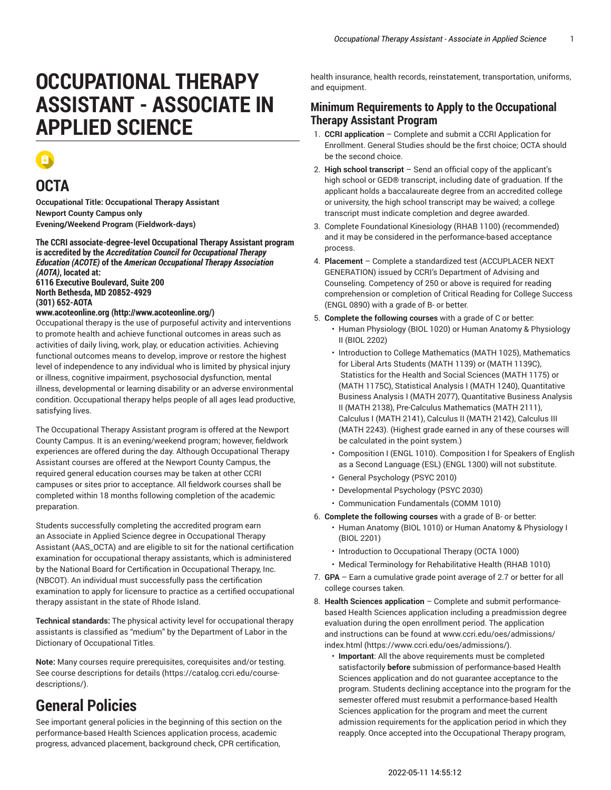# **OCCUPATIONAL THERAPY ASSISTANT - ASSOCIATE IN APPLIED SCIENCE**

#### **OCTA**

**Occupational Title: Occupational Therapy Assistant Newport County Campus only Evening/Weekend Program (Fieldwork-days)**

**The CCRI associate-degree-level Occupational Therapy Assistant program is accredited by the** *Accreditation Council for Occupational Therapy Education (ACOTE)* **of the** *American Occupational Therapy Association (AOTA)***, located at: 6116 Executive Boulevard, Suite 200 North Bethesda, MD 20852-4929**

**(301) 652-AOTA**

#### **[www.acoteonline.org \(http://www.acoteonline.org/](http://www.acoteonline.org/))**

Occupational therapy is the use of purposeful activity and interventions to promote health and achieve functional outcomes in areas such as activities of daily living, work, play, or education activities. Achieving functional outcomes means to develop, improve or restore the highest level of independence to any individual who is limited by physical injury or illness, cognitive impairment, psychosocial dysfunction, mental illness, developmental or learning disability or an adverse environmental condition. Occupational therapy helps people of all ages lead productive, satisfying lives.

The Occupational Therapy Assistant program is offered at the Newport County Campus. It is an evening/weekend program; however, fieldwork experiences are offered during the day. Although Occupational Therapy Assistant courses are offered at the Newport County Campus, the required general education courses may be taken at other CCRI campuses or sites prior to acceptance. All fieldwork courses shall be completed within 18 months following completion of the academic preparation.

Students successfully completing the accredited program earn an Associate in Applied Science degree in Occupational Therapy Assistant (AAS\_OCTA) and are eligible to sit for the national certification examination for occupational therapy assistants, which is administered by the National Board for Certification in Occupational Therapy, Inc. (NBCOT). An individual must successfully pass the certification examination to apply for licensure to practice as a certified occupational therapy assistant in the state of Rhode Island.

**Technical standards:** The physical activity level for occupational therapy assistants is classified as "medium" by the Department of Labor in the Dictionary of Occupational Titles.

**Note:** Many courses require prerequisites, corequisites and/or testing. [See course descriptions for details](https://catalog.ccri.edu/course-descriptions/) [\(https://catalog.ccri.edu/course](https://catalog.ccri.edu/course-descriptions/)[descriptions/\)](https://catalog.ccri.edu/course-descriptions/).

## **General Policies**

See important general policies in the beginning of this section on the performance-based Health Sciences application process, academic progress, advanced placement, background check, CPR certification,

health insurance, health records, reinstatement, transportation, uniforms, and equipment.

#### **Minimum Requirements to Apply to the Occupational Therapy Assistant Program**

- 1. **CCRI application** Complete and submit a CCRI Application for Enrollment. General Studies should be the first choice; OCTA should be the second choice.
- 2. **High school transcript** Send an official copy of the applicant's high school or GED® transcript, including date of graduation. If the applicant holds a baccalaureate degree from an accredited college or university, the high school transcript may be waived; a college transcript must indicate completion and degree awarded.
- 3. Complete Foundational Kinesiology (RHAB 1100) (recommended) and it may be considered in the performance-based acceptance process.
- 4. **Placement** Complete a standardized test (ACCUPLACER NEXT GENERATION) issued by CCRI's Department of Advising and Counseling. Competency of 250 or above is required for reading comprehension or completion of Critical Reading for College Success (ENGL 0890) with a grade of B- or better.
- 5. **Complete the following courses** with a grade of C or better: • Human Physiology (BIOL 1020) or Human Anatomy & Physiology II (BIOL 2202)
	- Introduction to College Mathematics (MATH 1025), Mathematics for Liberal Arts Students (MATH 1139) or (MATH 1139C), Statistics for the Health and Social Sciences (MATH 1175) or (MATH 1175C), Statistical Analysis I (MATH 1240), Quantitative Business Analysis I (MATH 2077), Quantitative Business Analysis II (MATH 2138), Pre-Calculus Mathematics (MATH 2111), Calculus I (MATH 2141), Calculus II (MATH 2142), Calculus III (MATH 2243). (Highest grade earned in any of these courses will be calculated in the point system.)
	- Composition I (ENGL 1010). Composition I for Speakers of English as a Second Language (ESL) (ENGL 1300) will not substitute.
	- General Psychology (PSYC 2010)
	- Developmental Psychology (PSYC 2030)
	- Communication Fundamentals (COMM 1010)
- 6. **Complete the following courses** with a grade of B- or better:
	- Human Anatomy (BIOL 1010) or Human Anatomy & Physiology I (BIOL 2201)
	- Introduction to Occupational Therapy (OCTA 1000)
	- Medical Terminology for Rehabilitative Health (RHAB 1010)
- 7. **GPA** Earn a cumulative grade point average of 2.7 or better for all college courses taken.
- 8. **Health Sciences application** Complete and submit performancebased Health Sciences application including a preadmission degree evaluation during the open enrollment period. The application and instructions can be found at [www.ccri.edu/oes/admissions/](https://www.ccri.edu/oes/admissions/) [index.html](https://www.ccri.edu/oes/admissions/) (<https://www.ccri.edu/oes/admissions/>).
	- **Important**: All the above requirements must be completed satisfactorily **before** submission of performance-based Health Sciences application and do not guarantee acceptance to the program. Students declining acceptance into the program for the semester offered must resubmit a performance-based Health Sciences application for the program and meet the current admission requirements for the application period in which they reapply. Once accepted into the Occupational Therapy program,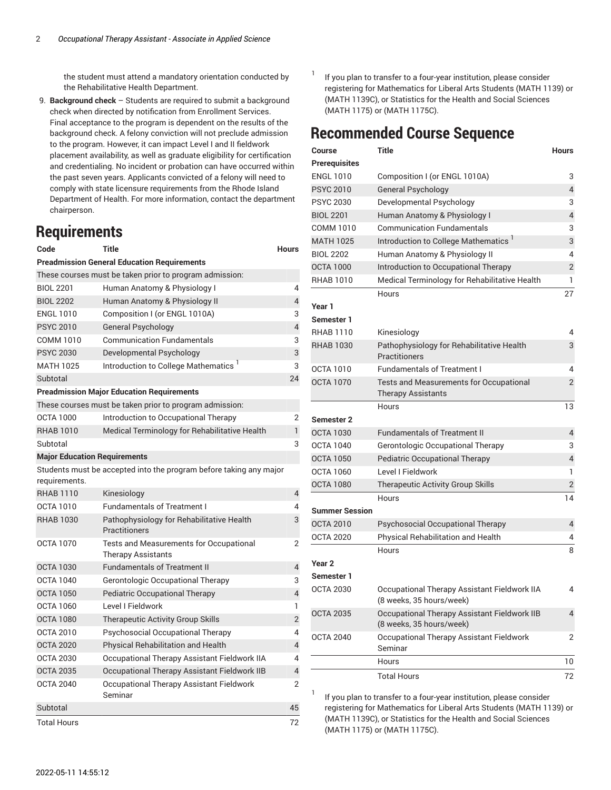the student must attend a mandatory orientation conducted by the Rehabilitative Health Department.

9. **Background check** – Students are required to submit a background check when directed by notification from Enrollment Services. Final acceptance to the program is dependent on the results of the background check. A felony conviction will not preclude admission to the program. However, it can impact Level I and II fieldwork placement availability, as well as graduate eligibility for certification and credentialing. No incident or probation can have occurred within the past seven years. Applicants convicted of a felony will need to comply with state licensure requirements from the Rhode Island Department of Health. For more information, contact the department chairperson.

#### **Requirements**

| Code                                                    | <b>Title</b>                                                         | <b>Hours</b>             |  |
|---------------------------------------------------------|----------------------------------------------------------------------|--------------------------|--|
| <b>Preadmission General Education Requirements</b>      |                                                                      |                          |  |
| These courses must be taken prior to program admission: |                                                                      |                          |  |
| <b>BIOL 2201</b>                                        | Human Anatomy & Physiology I                                         | 4                        |  |
| <b>BIOL 2202</b>                                        | Human Anatomy & Physiology II                                        | 4                        |  |
| <b>ENGL 1010</b>                                        | Composition I (or ENGL 1010A)                                        | 3                        |  |
| <b>PSYC 2010</b>                                        | General Psychology                                                   | $\overline{4}$           |  |
| COMM 1010                                               | <b>Communication Fundamentals</b>                                    | 3                        |  |
| <b>PSYC 2030</b>                                        | Developmental Psychology                                             | 3                        |  |
| <b>MATH 1025</b>                                        | Introduction to College Mathematics <sup>1</sup>                     | 3                        |  |
| Subtotal                                                |                                                                      | 24                       |  |
|                                                         | <b>Preadmission Major Education Requirements</b>                     |                          |  |
|                                                         | These courses must be taken prior to program admission:              |                          |  |
| <b>OCTA 1000</b>                                        | Introduction to Occupational Therapy                                 | 2                        |  |
| <b>RHAB 1010</b>                                        | Medical Terminology for Rehabilitative Health                        | 1                        |  |
| Subtotal                                                |                                                                      | 3                        |  |
| <b>Major Education Requirements</b>                     |                                                                      |                          |  |
|                                                         | Students must be accepted into the program before taking any major   |                          |  |
| requirements.                                           |                                                                      |                          |  |
| <b>RHAB 1110</b>                                        | Kinesiology                                                          | $\overline{4}$           |  |
| <b>OCTA 1010</b>                                        | <b>Fundamentals of Treatment I</b>                                   | 4                        |  |
| <b>RHAB 1030</b>                                        | Pathophysiology for Rehabilitative Health<br>Practitioners           | 3                        |  |
| <b>OCTA 1070</b>                                        | Tests and Measurements for Occupational<br><b>Therapy Assistants</b> | 2                        |  |
| <b>OCTA 1030</b>                                        | <b>Fundamentals of Treatment II</b>                                  | $\overline{4}$           |  |
| OCTA 1040                                               | Gerontologic Occupational Therapy                                    | 3                        |  |
| <b>OCTA 1050</b>                                        | Pediatric Occupational Therapy                                       | $\overline{4}$           |  |
| <b>OCTA 1060</b>                                        | Level I Fieldwork                                                    | 1                        |  |
| <b>OCTA 1080</b>                                        | Therapeutic Activity Group Skills                                    | $\overline{2}$           |  |
| <b>OCTA 2010</b>                                        | Psychosocial Occupational Therapy                                    | 4                        |  |
| <b>OCTA 2020</b>                                        | Physical Rehabilitation and Health                                   | $\overline{\mathcal{L}}$ |  |
| <b>OCTA 2030</b>                                        | Occupational Therapy Assistant Fieldwork IIA                         | 4                        |  |
| <b>OCTA 2035</b>                                        | Occupational Therapy Assistant Fieldwork IIB                         | $\overline{4}$           |  |
| <b>OCTA 2040</b>                                        | Occupational Therapy Assistant Fieldwork<br>Seminar                  | 2                        |  |
| Subtotal                                                |                                                                      | 45                       |  |
| <b>Total Hours</b>                                      |                                                                      | 72                       |  |

1 If you plan to transfer to a four-year institution, please consider registering for Mathematics for Liberal Arts Students (MATH 1139) or (MATH 1139C), or Statistics for the Health and Social Sciences (MATH 1175) or (MATH 1175C).

### **Recommended Course Sequence**

| Course                | <b>Title</b>                                                                | <b>Hours</b>   |
|-----------------------|-----------------------------------------------------------------------------|----------------|
| <b>Prerequisites</b>  |                                                                             |                |
| <b>ENGL 1010</b>      | Composition I (or ENGL 1010A)                                               | 3              |
| <b>PSYC 2010</b>      | <b>General Psychology</b>                                                   | 4              |
| <b>PSYC 2030</b>      | Developmental Psychology                                                    | 3              |
| <b>BIOL 2201</b>      | Human Anatomy & Physiology I                                                | 4              |
| COMM 1010             | <b>Communication Fundamentals</b>                                           | 3              |
| <b>MATH 1025</b>      | Introduction to College Mathematics <sup>1</sup>                            | 3              |
| <b>BIOL 2202</b>      | Human Anatomy & Physiology II                                               | 4              |
| <b>OCTA 1000</b>      | Introduction to Occupational Therapy                                        | 2              |
| <b>RHAB 1010</b>      | Medical Terminology for Rehabilitative Health                               | 1              |
|                       | Hours                                                                       | 27             |
| Year 1                |                                                                             |                |
| Semester 1            |                                                                             |                |
| <b>RHAB 1110</b>      | Kinesiology                                                                 | 4              |
| <b>RHAB 1030</b>      | Pathophysiology for Rehabilitative Health<br>Practitioners                  | 3              |
| OCTA 1010             | <b>Fundamentals of Treatment I</b>                                          | 4              |
| <b>OCTA 1070</b>      | <b>Tests and Measurements for Occupational</b><br><b>Therapy Assistants</b> | 2              |
|                       | Hours                                                                       | 13             |
| <b>Semester 2</b>     |                                                                             |                |
| <b>OCTA 1030</b>      | <b>Fundamentals of Treatment II</b>                                         | 4              |
| <b>OCTA 1040</b>      | Gerontologic Occupational Therapy                                           | 3              |
| <b>OCTA 1050</b>      | <b>Pediatric Occupational Therapy</b>                                       | 4              |
| <b>OCTA 1060</b>      | Level I Fieldwork                                                           | 1              |
| <b>OCTA 1080</b>      | Therapeutic Activity Group Skills                                           | $\overline{2}$ |
|                       | Hours                                                                       | 14             |
| <b>Summer Session</b> |                                                                             |                |
| <b>OCTA 2010</b>      | Psychosocial Occupational Therapy                                           | 4              |
| <b>OCTA 2020</b>      | Physical Rehabilitation and Health                                          | 4              |
|                       | Hours                                                                       | 8              |
| Year 2                |                                                                             |                |
| Semester 1            |                                                                             |                |
| <b>OCTA 2030</b>      | Occupational Therapy Assistant Fieldwork IIA<br>(8 weeks, 35 hours/week)    | 4              |
| <b>OCTA 2035</b>      | Occupational Therapy Assistant Fieldwork IIB<br>(8 weeks, 35 hours/week)    | $\overline{4}$ |
| <b>OCTA 2040</b>      | Occupational Therapy Assistant Fieldwork<br>Seminar                         | 2              |
|                       | Hours                                                                       | 10             |
|                       | <b>Total Hours</b>                                                          | 72             |

If you plan to transfer to a four-year institution, please consider registering for Mathematics for Liberal Arts Students ([MATH](/search/?P=MATH%201139) 1139) or (MATH [1139C\)](/search/?P=MATH%201139C), or Statistics for the Health and Social Sciences [\(MATH](/search/?P=MATH%201175) 1175) or [\(MATH](/search/?P=MATH%201175C) 1175C).

1